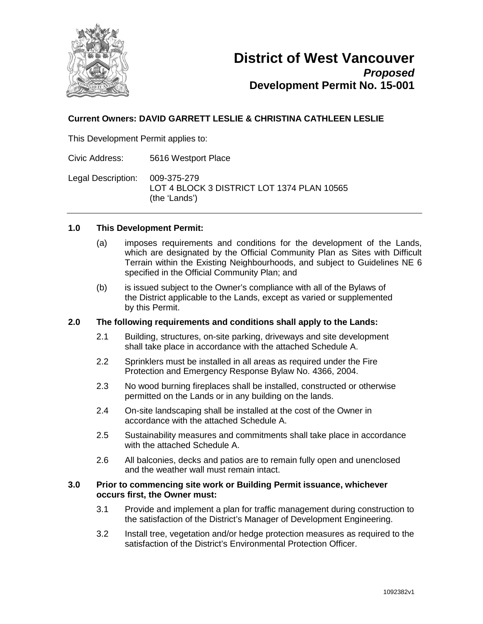

## **Current Owners: DAVID GARRETT LESLIE & CHRISTINA CATHLEEN LESLIE**

This Development Permit applies to:

Civic Address: 5616 Westport Place

Legal Description: 009-375-279 LOT 4 BLOCK 3 DISTRICT LOT 1374 PLAN 10565 (the 'Lands')

#### **1.0 This Development Permit:**

- (a) imposes requirements and conditions for the development of the Lands, which are designated by the Official Community Plan as Sites with Difficult Terrain within the Existing Neighbourhoods, and subject to Guidelines NE 6 specified in the Official Community Plan; and
- (b) is issued subject to the Owner's compliance with all of the Bylaws of the District applicable to the Lands, except as varied or supplemented by this Permit.

## **2.0 The following requirements and conditions shall apply to the Lands:**

- 2.1 Building, structures, on-site parking, driveways and site development shall take place in accordance with the attached Schedule A.
- 2.2 Sprinklers must be installed in all areas as required under the Fire Protection and Emergency Response Bylaw No. 4366, 2004.
- 2.3 No wood burning fireplaces shall be installed, constructed or otherwise permitted on the Lands or in any building on the lands.
- 2.4 On-site landscaping shall be installed at the cost of the Owner in accordance with the attached Schedule A.
- 2.5 Sustainability measures and commitments shall take place in accordance with the attached Schedule A.
- 2.6 All balconies, decks and patios are to remain fully open and unenclosed and the weather wall must remain intact.

#### **3.0 Prior to commencing site work or Building Permit issuance, whichever occurs first, the Owner must:**

- 3.1 Provide and implement a plan for traffic management during construction to the satisfaction of the District's Manager of Development Engineering.
- 3.2 Install tree, vegetation and/or hedge protection measures as required to the satisfaction of the District's Environmental Protection Officer.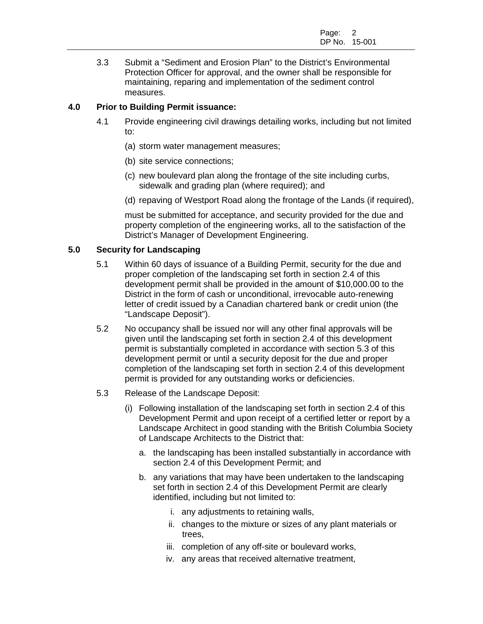3.3 Submit a "Sediment and Erosion Plan" to the District's Environmental Protection Officer for approval, and the owner shall be responsible for maintaining, reparing and implementation of the sediment control measures.

## **4.0 Prior to Building Permit issuance:**

- 4.1 Provide engineering civil drawings detailing works, including but not limited to:
	- (a) storm water management measures;
	- (b) site service connections;
	- (c) new boulevard plan along the frontage of the site including curbs, sidewalk and grading plan (where required); and
	- (d) repaving of Westport Road along the frontage of the Lands (if required),

must be submitted for acceptance, and security provided for the due and property completion of the engineering works, all to the satisfaction of the District's Manager of Development Engineering.

### **5.0 Security for Landscaping**

- 5.1 Within 60 days of issuance of a Building Permit, security for the due and proper completion of the landscaping set forth in section 2.4 of this development permit shall be provided in the amount of \$10,000.00 to the District in the form of cash or unconditional, irrevocable auto-renewing letter of credit issued by a Canadian chartered bank or credit union (the "Landscape Deposit").
- 5.2 No occupancy shall be issued nor will any other final approvals will be given until the landscaping set forth in section 2.4 of this development permit is substantially completed in accordance with section 5.3 of this development permit or until a security deposit for the due and proper completion of the landscaping set forth in section 2.4 of this development permit is provided for any outstanding works or deficiencies.
- 5.3 Release of the Landscape Deposit:
	- (i) Following installation of the landscaping set forth in section 2.4 of this Development Permit and upon receipt of a certified letter or report by a Landscape Architect in good standing with the British Columbia Society of Landscape Architects to the District that:
		- a. the landscaping has been installed substantially in accordance with section 2.4 of this Development Permit; and
		- b. any variations that may have been undertaken to the landscaping set forth in section 2.4 of this Development Permit are clearly identified, including but not limited to:
			- i. any adjustments to retaining walls,
			- ii. changes to the mixture or sizes of any plant materials or trees,
			- iii. completion of any off-site or boulevard works,
			- iv. any areas that received alternative treatment,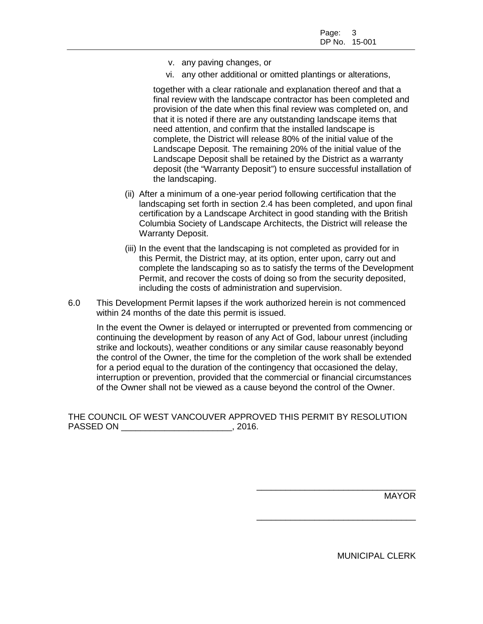- v. any paving changes, or
- vi. any other additional or omitted plantings or alterations,

together with a clear rationale and explanation thereof and that a final review with the landscape contractor has been completed and provision of the date when this final review was completed on, and that it is noted if there are any outstanding landscape items that need attention, and confirm that the installed landscape is complete, the District will release 80% of the initial value of the Landscape Deposit. The remaining 20% of the initial value of the Landscape Deposit shall be retained by the District as a warranty deposit (the "Warranty Deposit") to ensure successful installation of the landscaping.

- (ii) After a minimum of a one-year period following certification that the landscaping set forth in section 2.4 has been completed, and upon final certification by a Landscape Architect in good standing with the British Columbia Society of Landscape Architects, the District will release the Warranty Deposit.
- (iii) In the event that the landscaping is not completed as provided for in this Permit, the District may, at its option, enter upon, carry out and complete the landscaping so as to satisfy the terms of the Development Permit, and recover the costs of doing so from the security deposited, including the costs of administration and supervision.
- 6.0 This Development Permit lapses if the work authorized herein is not commenced within 24 months of the date this permit is issued.

In the event the Owner is delayed or interrupted or prevented from commencing or continuing the development by reason of any Act of God, labour unrest (including strike and lockouts), weather conditions or any similar cause reasonably beyond the control of the Owner, the time for the completion of the work shall be extended for a period equal to the duration of the contingency that occasioned the delay, interruption or prevention, provided that the commercial or financial circumstances of the Owner shall not be viewed as a cause beyond the control of the Owner.

THE COUNCIL OF WEST VANCOUVER APPROVED THIS PERMIT BY RESOLUTION PASSED ON  $, 2016.$ 

MAYOR

MUNICIPAL CLERK

\_\_\_\_\_\_\_\_\_\_\_\_\_\_\_\_\_\_\_\_\_\_\_\_\_\_\_\_\_\_\_\_\_

\_\_\_\_\_\_\_\_\_\_\_\_\_\_\_\_\_\_\_\_\_\_\_\_\_\_\_\_\_\_\_\_\_